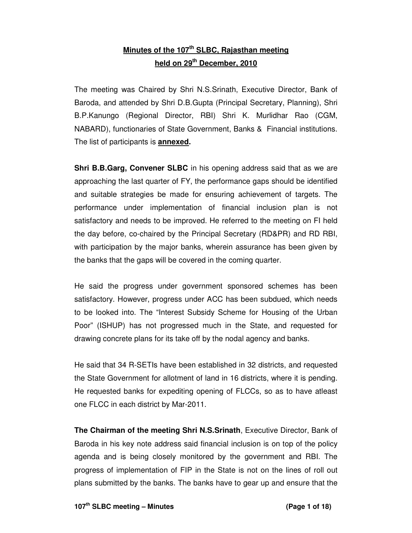# **Minutes of the 107th SLBC, Rajasthan meeting held on 29th December, 2010**

The meeting was Chaired by Shri N.S.Srinath, Executive Director, Bank of Baroda, and attended by Shri D.B.Gupta (Principal Secretary, Planning), Shri B.P.Kanungo (Regional Director, RBI) Shri K. Murlidhar Rao (CGM, NABARD), functionaries of State Government, Banks & Financial institutions. The list of participants is **annexed.**

**Shri B.B.Garg, Convener SLBC** in his opening address said that as we are approaching the last quarter of FY, the performance gaps should be identified and suitable strategies be made for ensuring achievement of targets. The performance under implementation of financial inclusion plan is not satisfactory and needs to be improved. He referred to the meeting on FI held the day before, co-chaired by the Principal Secretary (RD&PR) and RD RBI, with participation by the major banks, wherein assurance has been given by the banks that the gaps will be covered in the coming quarter.

He said the progress under government sponsored schemes has been satisfactory. However, progress under ACC has been subdued, which needs to be looked into. The "Interest Subsidy Scheme for Housing of the Urban Poor" (ISHUP) has not progressed much in the State, and requested for drawing concrete plans for its take off by the nodal agency and banks.

He said that 34 R-SETIs have been established in 32 districts, and requested the State Government for allotment of land in 16 districts, where it is pending. He requested banks for expediting opening of FLCCs, so as to have atleast one FLCC in each district by Mar-2011.

**The Chairman of the meeting Shri N.S.Srinath**, Executive Director, Bank of Baroda in his key note address said financial inclusion is on top of the policy agenda and is being closely monitored by the government and RBI. The progress of implementation of FIP in the State is not on the lines of roll out plans submitted by the banks. The banks have to gear up and ensure that the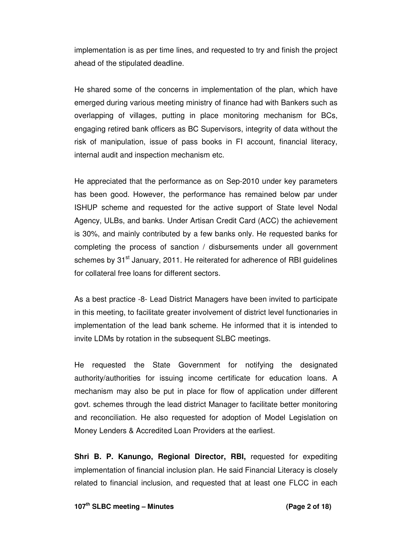implementation is as per time lines, and requested to try and finish the project ahead of the stipulated deadline.

He shared some of the concerns in implementation of the plan, which have emerged during various meeting ministry of finance had with Bankers such as overlapping of villages, putting in place monitoring mechanism for BCs, engaging retired bank officers as BC Supervisors, integrity of data without the risk of manipulation, issue of pass books in FI account, financial literacy, internal audit and inspection mechanism etc.

He appreciated that the performance as on Sep-2010 under key parameters has been good. However, the performance has remained below par under ISHUP scheme and requested for the active support of State level Nodal Agency, ULBs, and banks. Under Artisan Credit Card (ACC) the achievement is 30%, and mainly contributed by a few banks only. He requested banks for completing the process of sanction / disbursements under all government schemes by 31<sup>st</sup> January, 2011. He reiterated for adherence of RBI guidelines for collateral free loans for different sectors.

As a best practice -8- Lead District Managers have been invited to participate in this meeting, to facilitate greater involvement of district level functionaries in implementation of the lead bank scheme. He informed that it is intended to invite LDMs by rotation in the subsequent SLBC meetings.

He requested the State Government for notifying the designated authority/authorities for issuing income certificate for education loans. A mechanism may also be put in place for flow of application under different govt. schemes through the lead district Manager to facilitate better monitoring and reconciliation. He also requested for adoption of Model Legislation on Money Lenders & Accredited Loan Providers at the earliest.

**Shri B. P. Kanungo, Regional Director, RBI,** requested for expediting implementation of financial inclusion plan. He said Financial Literacy is closely related to financial inclusion, and requested that at least one FLCC in each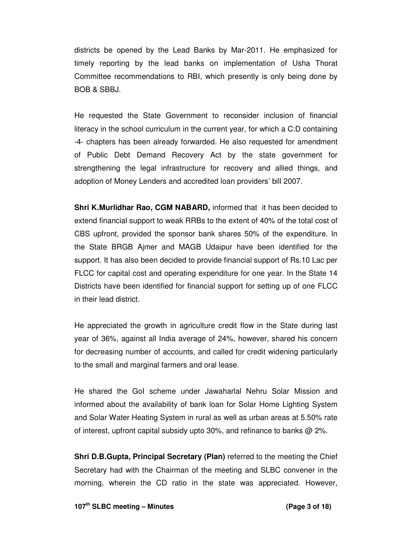districts be opened by the Lead Banks by Mar-2011. He emphasized for timely reporting by the lead banks on implementation of Usha Thorat Committee recommendations to RBI, which presently is only being done by BOB & SBBJ.

He requested the State Government to reconsider inclusion of financial literacy in the school curriculum in the current year, for which a C:D containing -4- chapters has been already forwarded. He also requested for amendment of Public Debt Demand Recovery Act by the state government for strengthening the legal infrastructure for recovery and allied things, and adoption of Money Lenders and accredited loan providers' bill 2007.

**Shri K.Murlidhar Rao, CGM NABARD,** informed that it has been decided to extend financial support to weak RRBs to the extent of 40% of the total cost of CBS upfront, provided the sponsor bank shares 50% of the expenditure. In the State BRGB Ajmer and MAGB Udaipur have been identified for the support. It has also been decided to provide financial support of Rs.10 Lac per FLCC for capital cost and operating expenditure for one year. In the State 14 Districts have been identified for financial support for setting up of one FLCC in their lead district.

He appreciated the growth in agriculture credit flow in the State during last year of 36%, against all India average of 24%, however, shared his concern for decreasing number of accounts, and called for credit widening particularly to the small and marginal farmers and oral lease.

He shared the GoI scheme under Jawaharlal Nehru Solar Mission and informed about the availability of bank loan for Solar Home Lighting System and Solar Water Heating System in rural as well as urban areas at 5.50% rate of interest, upfront capital subsidy upto 30%, and refinance to banks @ 2%.

**Shri D.B.Gupta, Principal Secretary (Plan)** referred to the meeting the Chief Secretary had with the Chairman of the meeting and SLBC convener in the morning, wherein the CD ratio in the state was appreciated. However,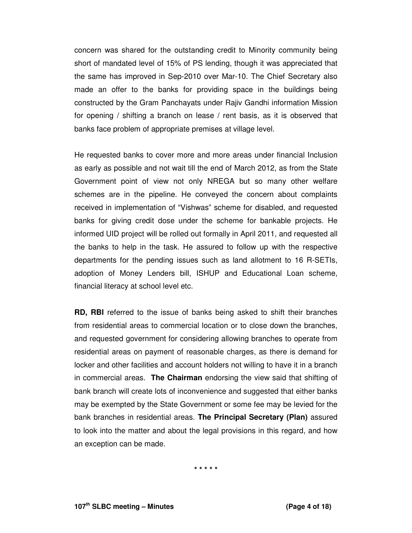concern was shared for the outstanding credit to Minority community being short of mandated level of 15% of PS lending, though it was appreciated that the same has improved in Sep-2010 over Mar-10. The Chief Secretary also made an offer to the banks for providing space in the buildings being constructed by the Gram Panchayats under Rajiv Gandhi information Mission for opening / shifting a branch on lease / rent basis, as it is observed that banks face problem of appropriate premises at village level.

He requested banks to cover more and more areas under financial Inclusion as early as possible and not wait till the end of March 2012, as from the State Government point of view not only NREGA but so many other welfare schemes are in the pipeline. He conveyed the concern about complaints received in implementation of "Vishwas" scheme for disabled, and requested banks for giving credit dose under the scheme for bankable projects. He informed UID project will be rolled out formally in April 2011, and requested all the banks to help in the task. He assured to follow up with the respective departments for the pending issues such as land allotment to 16 R-SETIs, adoption of Money Lenders bill, ISHUP and Educational Loan scheme, financial literacy at school level etc.

**RD, RBI** referred to the issue of banks being asked to shift their branches from residential areas to commercial location or to close down the branches, and requested government for considering allowing branches to operate from residential areas on payment of reasonable charges, as there is demand for locker and other facilities and account holders not willing to have it in a branch in commercial areas. **The Chairman** endorsing the view said that shifting of bank branch will create lots of inconvenience and suggested that either banks may be exempted by the State Government or some fee may be levied for the bank branches in residential areas. **The Principal Secretary (Plan)** assured to look into the matter and about the legal provisions in this regard, and how an exception can be made.

**\* \* \* \* \***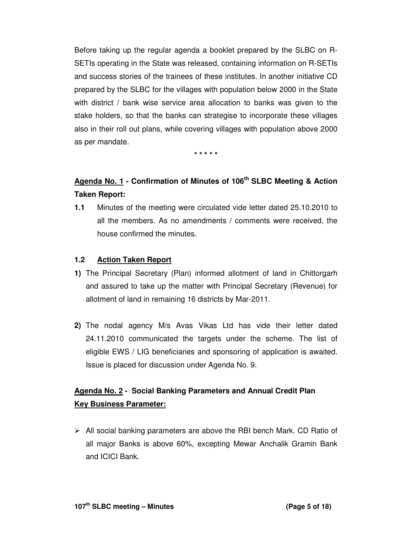Before taking up the regular agenda a booklet prepared by the SLBC on R-SETIs operating in the State was released, containing information on R-SETIs and success stories of the trainees of these institutes. In another initiative CD prepared by the SLBC for the villages with population below 2000 in the State with district / bank wise service area allocation to banks was given to the stake holders, so that the banks can strategise to incorporate these villages also in their roll out plans, while covering villages with population above 2000 as per mandate.

**\* \* \* \* \*** 

# **Agenda No. 1 - Confirmation of Minutes of 106th SLBC Meeting & Action Taken Report:**

**1.1** Minutes of the meeting were circulated vide letter dated 25.10.2010 to all the members. As no amendments / comments were received, the house confirmed the minutes.

#### **1.2 Action Taken Report**

- **1)** The Principal Secretary (Plan) informed allotment of land in Chittorgarh and assured to take up the matter with Principal Secretary (Revenue) for allotment of land in remaining 16 districts by Mar-2011.
- **2)** The nodal agency M/s Avas Vikas Ltd has vide their letter dated 24.11.2010 communicated the targets under the scheme. The list of eligible EWS / LIG beneficiaries and sponsoring of application is awaited. Issue is placed for discussion under Agenda No. 9.

# **Agenda No. 2 - Social Banking Parameters and Annual Credit Plan Key Business Parameter:**

 $\triangleright$  All social banking parameters are above the RBI bench Mark. CD Ratio of all major Banks is above 60%, excepting Mewar Anchalik Gramin Bank and ICICI Bank.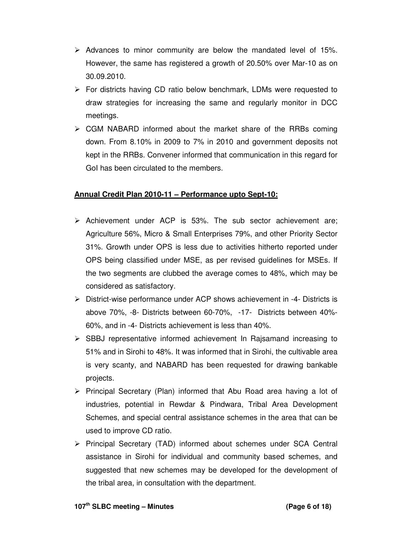- $\triangleright$  Advances to minor community are below the mandated level of 15%. However, the same has registered a growth of 20.50% over Mar-10 as on 30.09.2010.
- $\triangleright$  For districts having CD ratio below benchmark, LDMs were requested to draw strategies for increasing the same and regularly monitor in DCC meetings.
- $\triangleright$  CGM NABARD informed about the market share of the RRBs coming down. From 8.10% in 2009 to 7% in 2010 and government deposits not kept in the RRBs. Convener informed that communication in this regard for GoI has been circulated to the members.

#### **Annual Credit Plan 2010-11 – Performance upto Sept-10:**

- $\triangleright$  Achievement under ACP is 53%. The sub sector achievement are; Agriculture 56%, Micro & Small Enterprises 79%, and other Priority Sector 31%. Growth under OPS is less due to activities hitherto reported under OPS being classified under MSE, as per revised guidelines for MSEs. If the two segments are clubbed the average comes to 48%, which may be considered as satisfactory.
- District-wise performance under ACP shows achievement in -4- Districts is above 70%, -8- Districts between 60-70%, -17- Districts between 40%- 60%, and in -4- Districts achievement is less than 40%.
- $\triangleright$  SBBJ representative informed achievement In Raisamand increasing to 51% and in Sirohi to 48%. It was informed that in Sirohi, the cultivable area is very scanty, and NABARD has been requested for drawing bankable projects.
- $\triangleright$  Principal Secretary (Plan) informed that Abu Road area having a lot of industries, potential in Rewdar & Pindwara, Tribal Area Development Schemes, and special central assistance schemes in the area that can be used to improve CD ratio.
- $\triangleright$  Principal Secretary (TAD) informed about schemes under SCA Central assistance in Sirohi for individual and community based schemes, and suggested that new schemes may be developed for the development of the tribal area, in consultation with the department.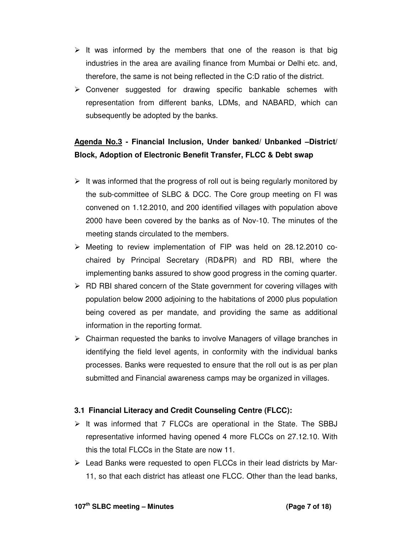- $\triangleright$  It was informed by the members that one of the reason is that big industries in the area are availing finance from Mumbai or Delhi etc. and, therefore, the same is not being reflected in the C:D ratio of the district.
- $\triangleright$  Convener suggested for drawing specific bankable schemes with representation from different banks, LDMs, and NABARD, which can subsequently be adopted by the banks.

# **Agenda No.3 - Financial Inclusion, Under banked/ Unbanked –District/ Block, Adoption of Electronic Benefit Transfer, FLCC & Debt swap**

- $\triangleright$  It was informed that the progress of roll out is being regularly monitored by the sub-committee of SLBC & DCC. The Core group meeting on FI was convened on 1.12.2010, and 200 identified villages with population above 2000 have been covered by the banks as of Nov-10. The minutes of the meeting stands circulated to the members.
- $\triangleright$  Meeting to review implementation of FIP was held on 28.12.2010 cochaired by Principal Secretary (RD&PR) and RD RBI, where the implementing banks assured to show good progress in the coming quarter.
- $\triangleright$  RD RBI shared concern of the State government for covering villages with population below 2000 adjoining to the habitations of 2000 plus population being covered as per mandate, and providing the same as additional information in the reporting format.
- $\triangleright$  Chairman requested the banks to involve Managers of village branches in identifying the field level agents, in conformity with the individual banks processes. Banks were requested to ensure that the roll out is as per plan submitted and Financial awareness camps may be organized in villages.

### **3.1 Financial Literacy and Credit Counseling Centre (FLCC):**

- $\triangleright$  It was informed that 7 FLCCs are operational in the State. The SBBJ representative informed having opened 4 more FLCCs on 27.12.10. With this the total FLCCs in the State are now 11.
- $\triangleright$  Lead Banks were requested to open FLCCs in their lead districts by Mar-11, so that each district has atleast one FLCC. Other than the lead banks,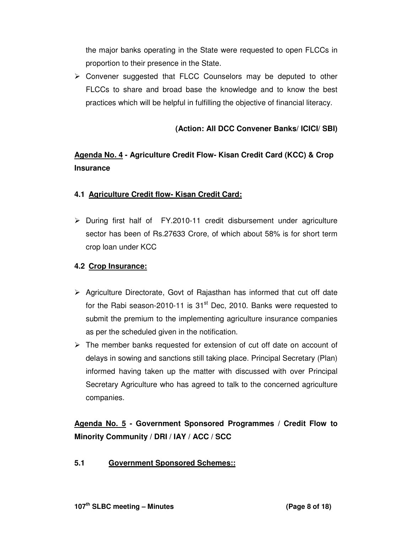the major banks operating in the State were requested to open FLCCs in proportion to their presence in the State.

 $\triangleright$  Convener suggested that FLCC Counselors may be deputed to other FLCCs to share and broad base the knowledge and to know the best practices which will be helpful in fulfilling the objective of financial literacy.

# **(Action: All DCC Convener Banks/ ICICI/ SBI)**

# **Agenda No. 4 - Agriculture Credit Flow- Kisan Credit Card (KCC) & Crop Insurance**

# **4.1 Agriculture Credit flow- Kisan Credit Card:**

 $\triangleright$  During first half of FY.2010-11 credit disbursement under agriculture sector has been of Rs.27633 Crore, of which about 58% is for short term crop loan under KCC

# **4.2 Crop Insurance:**

- $\triangleright$  Agriculture Directorate, Govt of Rajasthan has informed that cut off date for the Rabi season-2010-11 is  $31<sup>st</sup>$  Dec, 2010. Banks were requested to submit the premium to the implementing agriculture insurance companies as per the scheduled given in the notification.
- $\triangleright$  The member banks requested for extension of cut off date on account of delays in sowing and sanctions still taking place. Principal Secretary (Plan) informed having taken up the matter with discussed with over Principal Secretary Agriculture who has agreed to talk to the concerned agriculture companies.

**Agenda No. 5 - Government Sponsored Programmes / Credit Flow to Minority Community / DRI / IAY / ACC / SCC** 

**5.1 Government Sponsored Schemes::**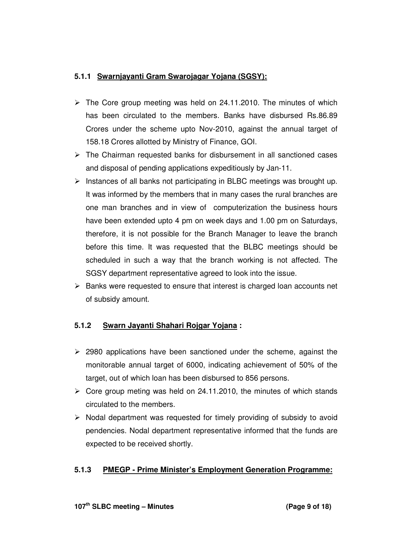## **5.1.1 Swarnjayanti Gram Swarojagar Yojana (SGSY):**

- $\triangleright$  The Core group meeting was held on 24.11.2010. The minutes of which has been circulated to the members. Banks have disbursed Rs.86.89 Crores under the scheme upto Nov-2010, against the annual target of 158.18 Crores allotted by Ministry of Finance, GOI.
- $\triangleright$  The Chairman requested banks for disbursement in all sanctioned cases and disposal of pending applications expeditiously by Jan-11.
- $\triangleright$  Instances of all banks not participating in BLBC meetings was brought up. It was informed by the members that in many cases the rural branches are one man branches and in view of computerization the business hours have been extended upto 4 pm on week days and 1.00 pm on Saturdays, therefore, it is not possible for the Branch Manager to leave the branch before this time. It was requested that the BLBC meetings should be scheduled in such a way that the branch working is not affected. The SGSY department representative agreed to look into the issue.
- $\triangleright$  Banks were requested to ensure that interest is charged loan accounts net of subsidy amount.

### **5.1.2 Swarn Jayanti Shahari Rojgar Yojana :**

- $\geq$  2980 applications have been sanctioned under the scheme, against the monitorable annual target of 6000, indicating achievement of 50% of the target, out of which loan has been disbursed to 856 persons.
- $\triangleright$  Core group meting was held on 24.11.2010, the minutes of which stands circulated to the members.
- $\triangleright$  Nodal department was requested for timely providing of subsidy to avoid pendencies. Nodal department representative informed that the funds are expected to be received shortly.

### **5.1.3 PMEGP - Prime Minister's Employment Generation Programme:**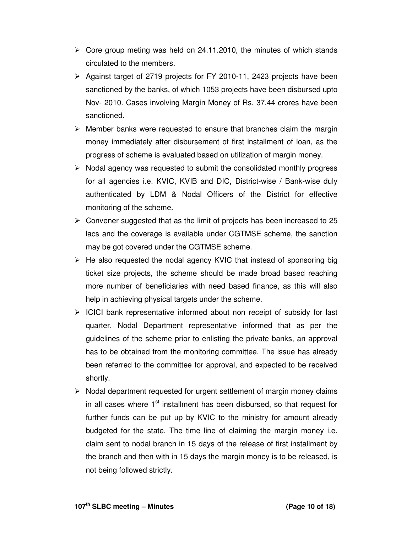- $\triangleright$  Core group meting was held on 24.11.2010, the minutes of which stands circulated to the members.
- $\triangleright$  Against target of 2719 projects for FY 2010-11, 2423 projects have been sanctioned by the banks, of which 1053 projects have been disbursed upto Nov- 2010. Cases involving Margin Money of Rs. 37.44 crores have been sanctioned.
- $\triangleright$  Member banks were requested to ensure that branches claim the margin money immediately after disbursement of first installment of loan, as the progress of scheme is evaluated based on utilization of margin money.
- $\triangleright$  Nodal agency was requested to submit the consolidated monthly progress for all agencies i.e. KVIC, KVIB and DIC, District-wise / Bank-wise duly authenticated by LDM & Nodal Officers of the District for effective monitoring of the scheme.
- $\triangleright$  Convener suggested that as the limit of projects has been increased to 25 lacs and the coverage is available under CGTMSE scheme, the sanction may be got covered under the CGTMSE scheme.
- $\triangleright$  He also requested the nodal agency KVIC that instead of sponsoring big ticket size projects, the scheme should be made broad based reaching more number of beneficiaries with need based finance, as this will also help in achieving physical targets under the scheme.
- $\triangleright$  ICICI bank representative informed about non receipt of subsidy for last quarter. Nodal Department representative informed that as per the guidelines of the scheme prior to enlisting the private banks, an approval has to be obtained from the monitoring committee. The issue has already been referred to the committee for approval, and expected to be received shortly.
- $\triangleright$  Nodal department requested for urgent settlement of margin money claims in all cases where 1<sup>st</sup> installment has been disbursed, so that request for further funds can be put up by KVIC to the ministry for amount already budgeted for the state. The time line of claiming the margin money i.e. claim sent to nodal branch in 15 days of the release of first installment by the branch and then with in 15 days the margin money is to be released, is not being followed strictly.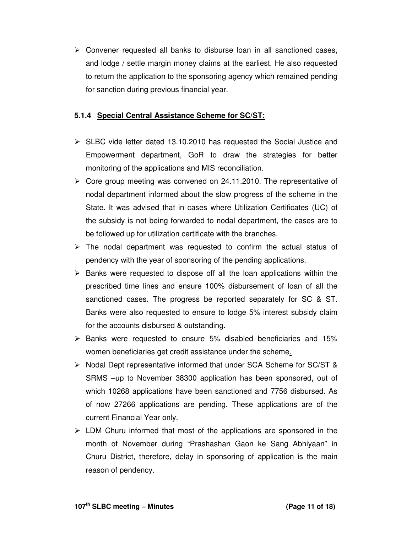$\triangleright$  Convener requested all banks to disburse loan in all sanctioned cases, and lodge / settle margin money claims at the earliest. He also requested to return the application to the sponsoring agency which remained pending for sanction during previous financial year.

### **5.1.4 Special Central Assistance Scheme for SC/ST:**

- $\triangleright$  SLBC vide letter dated 13.10.2010 has requested the Social Justice and Empowerment department, GoR to draw the strategies for better monitoring of the applications and MIS reconciliation.
- $\triangleright$  Core group meeting was convened on 24.11.2010. The representative of nodal department informed about the slow progress of the scheme in the State. It was advised that in cases where Utilization Certificates (UC) of the subsidy is not being forwarded to nodal department, the cases are to be followed up for utilization certificate with the branches.
- $\triangleright$  The nodal department was requested to confirm the actual status of pendency with the year of sponsoring of the pending applications.
- $\triangleright$  Banks were requested to dispose off all the loan applications within the prescribed time lines and ensure 100% disbursement of loan of all the sanctioned cases. The progress be reported separately for SC & ST. Banks were also requested to ensure to lodge 5% interest subsidy claim for the accounts disbursed & outstanding.
- $\triangleright$  Banks were requested to ensure 5% disabled beneficiaries and 15% women beneficiaries get credit assistance under the scheme.
- $\triangleright$  Nodal Dept representative informed that under SCA Scheme for SC/ST & SRMS –up to November 38300 application has been sponsored, out of which 10268 applications have been sanctioned and 7756 disbursed. As of now 27266 applications are pending. These applications are of the current Financial Year only.
- $\triangleright$  LDM Churu informed that most of the applications are sponsored in the month of November during "Prashashan Gaon ke Sang Abhiyaan" in Churu District, therefore, delay in sponsoring of application is the main reason of pendency.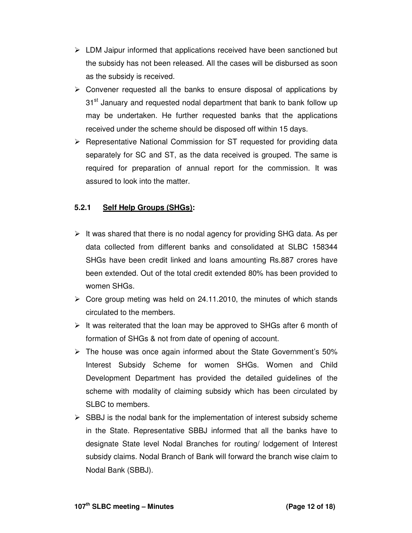- $\triangleright$  LDM Jaipur informed that applications received have been sanctioned but the subsidy has not been released. All the cases will be disbursed as soon as the subsidy is received.
- $\triangleright$  Convener requested all the banks to ensure disposal of applications by 31<sup>st</sup> January and requested nodal department that bank to bank follow up may be undertaken. He further requested banks that the applications received under the scheme should be disposed off within 15 days.
- $\triangleright$  Representative National Commission for ST requested for providing data separately for SC and ST, as the data received is grouped. The same is required for preparation of annual report for the commission. It was assured to look into the matter.

## **5.2.1 Self Help Groups (SHGs):**

- $\triangleright$  It was shared that there is no nodal agency for providing SHG data. As per data collected from different banks and consolidated at SLBC 158344 SHGs have been credit linked and loans amounting Rs.887 crores have been extended. Out of the total credit extended 80% has been provided to women SHGs.
- $\triangleright$  Core group meting was held on 24.11.2010, the minutes of which stands circulated to the members.
- $\triangleright$  It was reiterated that the loan may be approved to SHGs after 6 month of formation of SHGs & not from date of opening of account.
- $\triangleright$  The house was once again informed about the State Government's 50% Interest Subsidy Scheme for women SHGs. Women and Child Development Department has provided the detailed guidelines of the scheme with modality of claiming subsidy which has been circulated by SLBC to members.
- $\triangleright$  SBBJ is the nodal bank for the implementation of interest subsidy scheme in the State. Representative SBBJ informed that all the banks have to designate State level Nodal Branches for routing/ lodgement of Interest subsidy claims. Nodal Branch of Bank will forward the branch wise claim to Nodal Bank (SBBJ).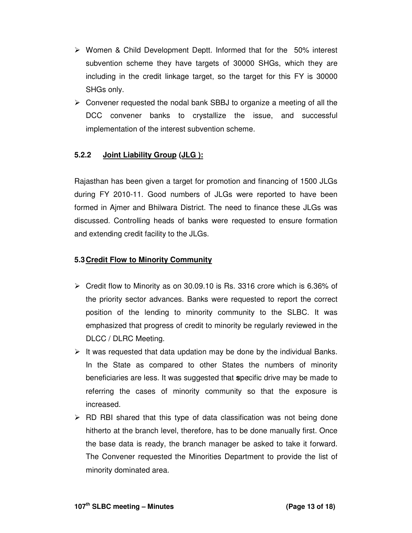- $\triangleright$  Women & Child Development Deptt. Informed that for the 50% interest subvention scheme they have targets of 30000 SHGs, which they are including in the credit linkage target, so the target for this FY is 30000 SHGs only.
- $\triangleright$  Convener requested the nodal bank SBBJ to organize a meeting of all the DCC convener banks to crystallize the issue, and successful implementation of the interest subvention scheme.

# **5.2.2 Joint Liability Group (JLG ):**

Rajasthan has been given a target for promotion and financing of 1500 JLGs during FY 2010-11. Good numbers of JLGs were reported to have been formed in Ajmer and Bhilwara District. The need to finance these JLGs was discussed. Controlling heads of banks were requested to ensure formation and extending credit facility to the JLGs.

#### **5.3 Credit Flow to Minority Community**

- $\triangleright$  Credit flow to Minority as on 30.09.10 is Rs. 3316 crore which is 6.36% of the priority sector advances. Banks were requested to report the correct position of the lending to minority community to the SLBC. It was emphasized that progress of credit to minority be regularly reviewed in the DLCC / DLRC Meeting.
- $\triangleright$  It was requested that data updation may be done by the individual Banks. In the State as compared to other States the numbers of minority beneficiaries are less. It was suggested that **s**pecific drive may be made to referring the cases of minority community so that the exposure is increased.
- $\triangleright$  RD RBI shared that this type of data classification was not being done hitherto at the branch level, therefore, has to be done manually first. Once the base data is ready, the branch manager be asked to take it forward. The Convener requested the Minorities Department to provide the list of minority dominated area.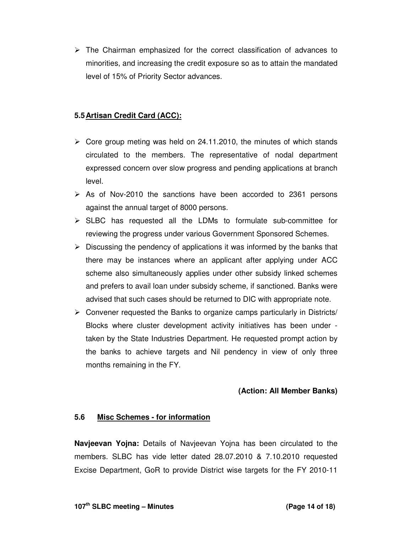$\triangleright$  The Chairman emphasized for the correct classification of advances to minorities, and increasing the credit exposure so as to attain the mandated level of 15% of Priority Sector advances.

## **5.5 Artisan Credit Card (ACC):**

- $\triangleright$  Core group meting was held on 24.11.2010, the minutes of which stands circulated to the members. The representative of nodal department expressed concern over slow progress and pending applications at branch level.
- $\triangleright$  As of Nov-2010 the sanctions have been accorded to 2361 persons against the annual target of 8000 persons.
- $\triangleright$  SLBC has requested all the LDMs to formulate sub-committee for reviewing the progress under various Government Sponsored Schemes.
- $\triangleright$  Discussing the pendency of applications it was informed by the banks that there may be instances where an applicant after applying under ACC scheme also simultaneously applies under other subsidy linked schemes and prefers to avail loan under subsidy scheme, if sanctioned. Banks were advised that such cases should be returned to DIC with appropriate note.
- $\triangleright$  Convener requested the Banks to organize camps particularly in Districts/ Blocks where cluster development activity initiatives has been under taken by the State Industries Department. He requested prompt action by the banks to achieve targets and Nil pendency in view of only three months remaining in the FY.

### **(Action: All Member Banks)**

### **5.6 Misc Schemes - for information**

**Navjeevan Yojna:** Details of Navjeevan Yojna has been circulated to the members. SLBC has vide letter dated 28.07.2010 & 7.10.2010 requested Excise Department, GoR to provide District wise targets for the FY 2010-11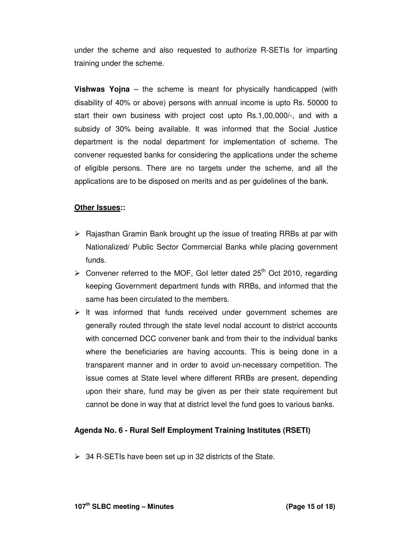under the scheme and also requested to authorize R-SETIs for imparting training under the scheme.

**Vishwas Yojna** – the scheme is meant for physically handicapped (with disability of 40% or above) persons with annual income is upto Rs. 50000 to start their own business with project cost upto Rs.1,00,000/-, and with a subsidy of 30% being available. It was informed that the Social Justice department is the nodal department for implementation of scheme. The convener requested banks for considering the applications under the scheme of eligible persons. There are no targets under the scheme, and all the applications are to be disposed on merits and as per guidelines of the bank.

#### **Other Issues::**

- $\triangleright$  Rajasthan Gramin Bank brought up the issue of treating RRBs at par with Nationalized/ Public Sector Commercial Banks while placing government funds.
- $\geq$  Convener referred to the MOF, GoI letter dated 25<sup>th</sup> Oct 2010, regarding keeping Government department funds with RRBs, and informed that the same has been circulated to the members.
- $\triangleright$  It was informed that funds received under government schemes are generally routed through the state level nodal account to district accounts with concerned DCC convener bank and from their to the individual banks where the beneficiaries are having accounts. This is being done in a transparent manner and in order to avoid un-necessary competition. The issue comes at State level where different RRBs are present, depending upon their share, fund may be given as per their state requirement but cannot be done in way that at district level the fund goes to various banks.

### **Agenda No. 6 - Rural Self Employment Training Institutes (RSETI)**

 $\geq$  34 R-SETIs have been set up in 32 districts of the State.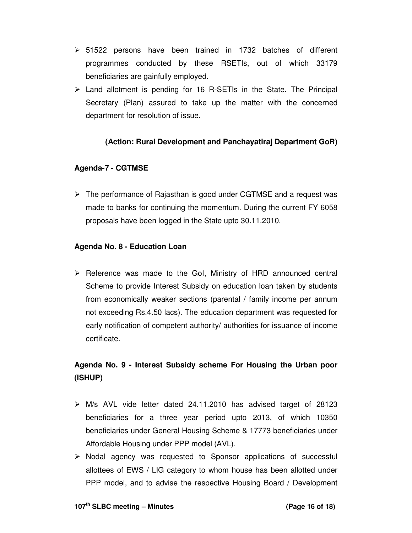- $\geq$  51522 persons have been trained in 1732 batches of different programmes conducted by these RSETIs, out of which 33179 beneficiaries are gainfully employed.
- $\triangleright$  Land allotment is pending for 16 R-SETIs in the State. The Principal Secretary (Plan) assured to take up the matter with the concerned department for resolution of issue.

## **(Action: Rural Development and Panchayatiraj Department GoR)**

### **Agenda-7 - CGTMSE**

 $\triangleright$  The performance of Rajasthan is good under CGTMSE and a request was made to banks for continuing the momentum. During the current FY 6058 proposals have been logged in the State upto 30.11.2010.

### **Agenda No. 8 - Education Loan**

 $\triangleright$  Reference was made to the GoI, Ministry of HRD announced central Scheme to provide Interest Subsidy on education loan taken by students from economically weaker sections (parental / family income per annum not exceeding Rs.4.50 lacs). The education department was requested for early notification of competent authority/ authorities for issuance of income certificate.

# **Agenda No. 9 - Interest Subsidy scheme For Housing the Urban poor (ISHUP)**

- $\triangleright$  M/s AVL vide letter dated 24.11.2010 has advised target of 28123 beneficiaries for a three year period upto 2013, of which 10350 beneficiaries under General Housing Scheme & 17773 beneficiaries under Affordable Housing under PPP model (AVL).
- $\triangleright$  Nodal agency was requested to Sponsor applications of successful allottees of EWS / LIG category to whom house has been allotted under PPP model, and to advise the respective Housing Board / Development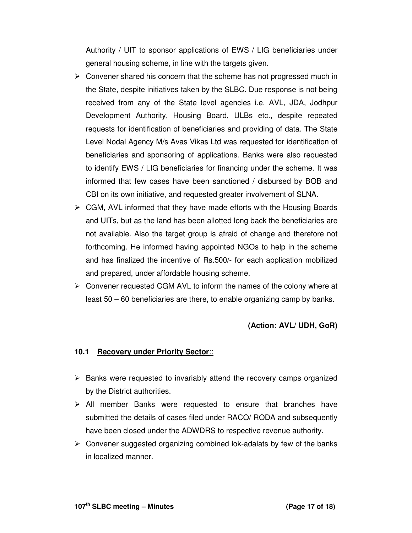Authority / UIT to sponsor applications of EWS / LIG beneficiaries under general housing scheme, in line with the targets given.

- $\triangleright$  Convener shared his concern that the scheme has not progressed much in the State, despite initiatives taken by the SLBC. Due response is not being received from any of the State level agencies i.e. AVL, JDA, Jodhpur Development Authority, Housing Board, ULBs etc., despite repeated requests for identification of beneficiaries and providing of data. The State Level Nodal Agency M/s Avas Vikas Ltd was requested for identification of beneficiaries and sponsoring of applications. Banks were also requested to identify EWS / LIG beneficiaries for financing under the scheme. It was informed that few cases have been sanctioned / disbursed by BOB and CBI on its own initiative, and requested greater involvement of SLNA.
- $\triangleright$  CGM, AVL informed that they have made efforts with the Housing Boards and UITs, but as the land has been allotted long back the beneficiaries are not available. Also the target group is afraid of change and therefore not forthcoming. He informed having appointed NGOs to help in the scheme and has finalized the incentive of Rs.500/- for each application mobilized and prepared, under affordable housing scheme.
- $\triangleright$  Convener requested CGM AVL to inform the names of the colony where at least 50 – 60 beneficiaries are there, to enable organizing camp by banks.

### **(Action: AVL/ UDH, GoR)**

#### **10.1 Recovery under Priority Sector**::

- $\triangleright$  Banks were requested to invariably attend the recovery camps organized by the District authorities.
- $\triangleright$  All member Banks were requested to ensure that branches have submitted the details of cases filed under RACO/ RODA and subsequently have been closed under the ADWDRS to respective revenue authority.
- $\triangleright$  Convener suggested organizing combined lok-adalats by few of the banks in localized manner.